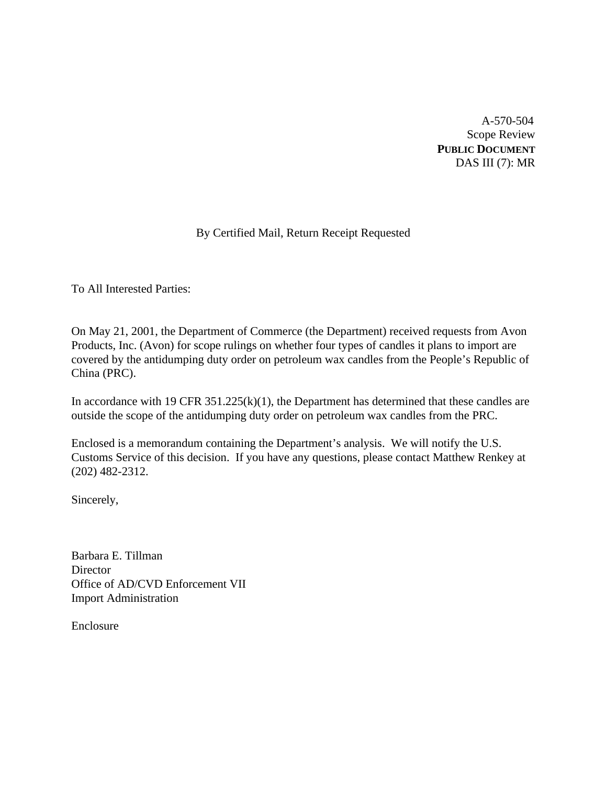A-570-504 Scope Review **PUBLIC DOCUMENT** DAS III (7): MR

# By Certified Mail, Return Receipt Requested

To All Interested Parties:

On May 21, 2001, the Department of Commerce (the Department) received requests from Avon Products, Inc. (Avon) for scope rulings on whether four types of candles it plans to import are covered by the antidumping duty order on petroleum wax candles from the People's Republic of China (PRC).

In accordance with 19 CFR  $351.225(k)(1)$ , the Department has determined that these candles are outside the scope of the antidumping duty order on petroleum wax candles from the PRC.

Enclosed is a memorandum containing the Department's analysis. We will notify the U.S. Customs Service of this decision. If you have any questions, please contact Matthew Renkey at (202) 482-2312.

Sincerely,

Barbara E. Tillman **Director** Office of AD/CVD Enforcement VII Import Administration

Enclosure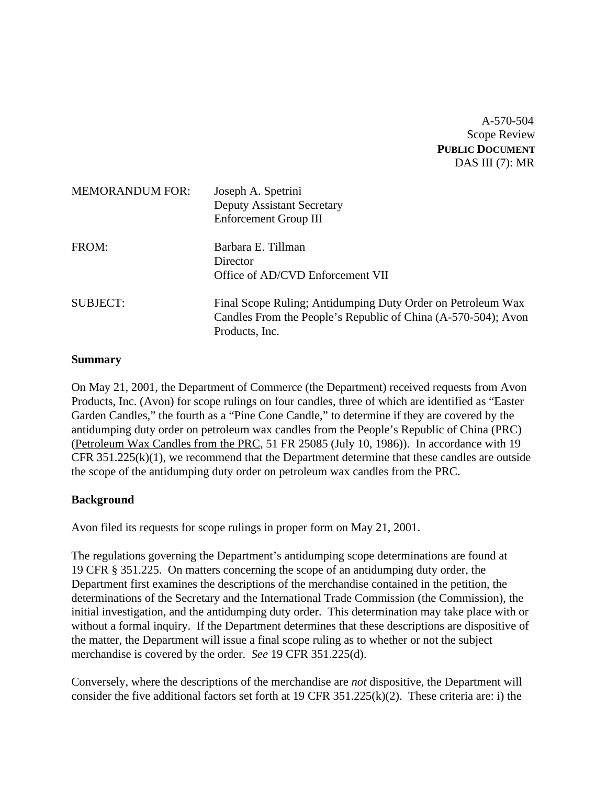A-570-504 Scope Review **PUBLIC DOCUMENT** DAS III (7): MR

| <b>MEMORANDUM FOR:</b> | Joseph A. Spetrini<br><b>Deputy Assistant Secretary</b><br>Enforcement Group III                                                               |
|------------------------|------------------------------------------------------------------------------------------------------------------------------------------------|
| FROM:                  | Barbara E. Tillman<br>Director<br>Office of AD/CVD Enforcement VII                                                                             |
| <b>SUBJECT:</b>        | Final Scope Ruling; Antidumping Duty Order on Petroleum Wax<br>Candles From the People's Republic of China (A-570-504); Avon<br>Products, Inc. |

### **Summary**

On May 21, 2001, the Department of Commerce (the Department) received requests from Avon Products, Inc. (Avon) for scope rulings on four candles, three of which are identified as "Easter Garden Candles," the fourth as a "Pine Cone Candle," to determine if they are covered by the antidumping duty order on petroleum wax candles from the People's Republic of China (PRC) (Petroleum Wax Candles from the PRC, 51 FR 25085 (July 10, 1986)). In accordance with 19 CFR  $351.225(k)(1)$ , we recommend that the Department determine that these candles are outside the scope of the antidumping duty order on petroleum wax candles from the PRC.

### **Background**

Avon filed its requests for scope rulings in proper form on May 21, 2001.

The regulations governing the Department's antidumping scope determinations are found at 19 CFR § 351.225. On matters concerning the scope of an antidumping duty order, the Department first examines the descriptions of the merchandise contained in the petition, the determinations of the Secretary and the International Trade Commission (the Commission), the initial investigation, and the antidumping duty order. This determination may take place with or without a formal inquiry. If the Department determines that these descriptions are dispositive of the matter, the Department will issue a final scope ruling as to whether or not the subject merchandise is covered by the order. *See* 19 CFR 351.225(d).

Conversely, where the descriptions of the merchandise are *not* dispositive, the Department will consider the five additional factors set forth at 19 CFR 351.225(k)(2). These criteria are: i) the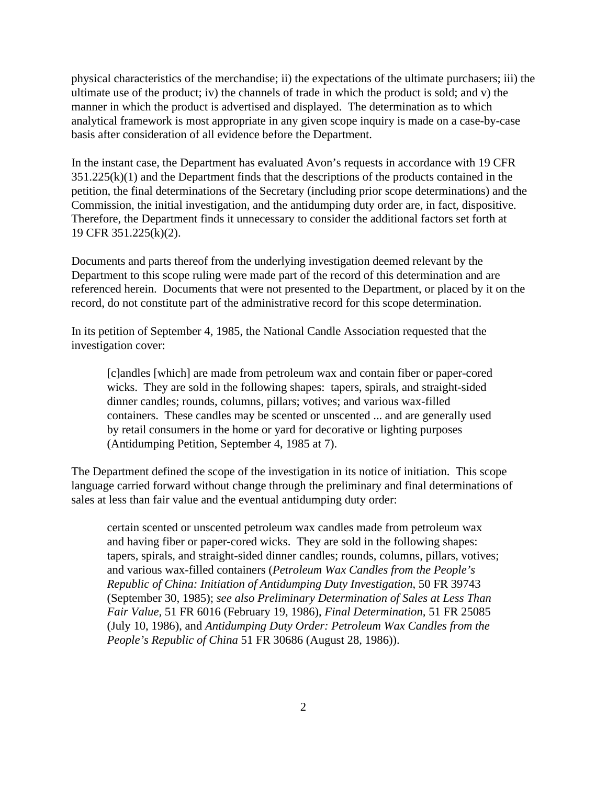physical characteristics of the merchandise; ii) the expectations of the ultimate purchasers; iii) the ultimate use of the product; iv) the channels of trade in which the product is sold; and v) the manner in which the product is advertised and displayed. The determination as to which analytical framework is most appropriate in any given scope inquiry is made on a case-by-case basis after consideration of all evidence before the Department.

In the instant case, the Department has evaluated Avon's requests in accordance with 19 CFR  $351.225(k)(1)$  and the Department finds that the descriptions of the products contained in the petition, the final determinations of the Secretary (including prior scope determinations) and the Commission, the initial investigation, and the antidumping duty order are, in fact, dispositive. Therefore, the Department finds it unnecessary to consider the additional factors set forth at 19 CFR 351.225(k)(2).

Documents and parts thereof from the underlying investigation deemed relevant by the Department to this scope ruling were made part of the record of this determination and are referenced herein. Documents that were not presented to the Department, or placed by it on the record, do not constitute part of the administrative record for this scope determination.

In its petition of September 4, 1985, the National Candle Association requested that the investigation cover:

[c]andles [which] are made from petroleum wax and contain fiber or paper-cored wicks. They are sold in the following shapes: tapers, spirals, and straight-sided dinner candles; rounds, columns, pillars; votives; and various wax-filled containers. These candles may be scented or unscented ... and are generally used by retail consumers in the home or yard for decorative or lighting purposes (Antidumping Petition, September 4, 1985 at 7).

The Department defined the scope of the investigation in its notice of initiation. This scope language carried forward without change through the preliminary and final determinations of sales at less than fair value and the eventual antidumping duty order:

certain scented or unscented petroleum wax candles made from petroleum wax and having fiber or paper-cored wicks. They are sold in the following shapes: tapers, spirals, and straight-sided dinner candles; rounds, columns, pillars, votives; and various wax-filled containers (*Petroleum Wax Candles from the People's Republic of China: Initiation of Antidumping Duty Investigation*, 50 FR 39743 (September 30, 1985); *see also Preliminary Determination of Sales at Less Than Fair Value,* 51 FR 6016 (February 19, 1986), *Final Determination,* 51 FR 25085 (July 10, 1986), and *Antidumping Duty Order: Petroleum Wax Candles from the People's Republic of China* 51 FR 30686 (August 28, 1986)).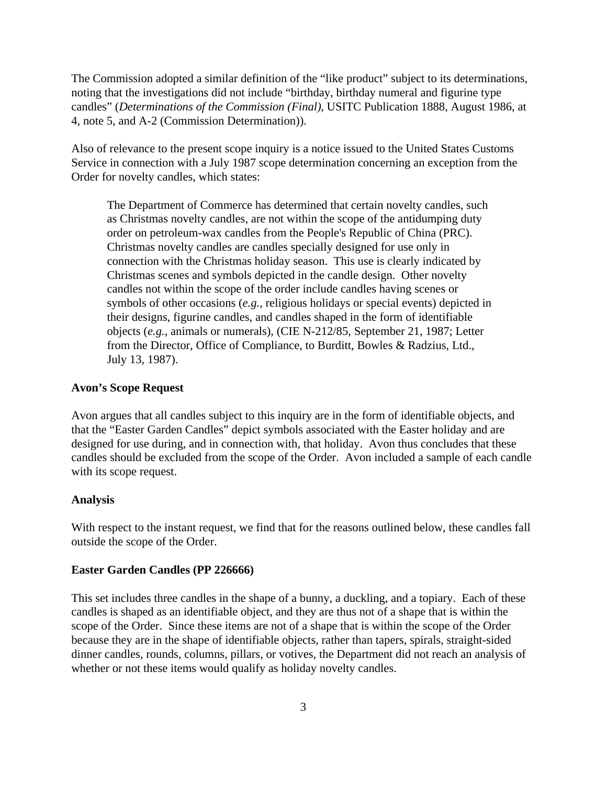The Commission adopted a similar definition of the "like product" subject to its determinations, noting that the investigations did not include "birthday, birthday numeral and figurine type candles" (*Determinations of the Commission (Final)*, USITC Publication 1888, August 1986, at 4, note 5, and A-2 (Commission Determination)).

Also of relevance to the present scope inquiry is a notice issued to the United States Customs Service in connection with a July 1987 scope determination concerning an exception from the Order for novelty candles, which states:

The Department of Commerce has determined that certain novelty candles, such as Christmas novelty candles, are not within the scope of the antidumping duty order on petroleum-wax candles from the People's Republic of China (PRC). Christmas novelty candles are candles specially designed for use only in connection with the Christmas holiday season. This use is clearly indicated by Christmas scenes and symbols depicted in the candle design. Other novelty candles not within the scope of the order include candles having scenes or symbols of other occasions (*e.g.*, religious holidays or special events) depicted in their designs, figurine candles, and candles shaped in the form of identifiable objects (*e.g.*, animals or numerals), (CIE N-212/85, September 21, 1987; Letter from the Director, Office of Compliance, to Burditt, Bowles & Radzius, Ltd., July 13, 1987).

### **Avon's Scope Request**

Avon argues that all candles subject to this inquiry are in the form of identifiable objects, and that the "Easter Garden Candles" depict symbols associated with the Easter holiday and are designed for use during, and in connection with, that holiday. Avon thus concludes that these candles should be excluded from the scope of the Order. Avon included a sample of each candle with its scope request.

#### **Analysis**

With respect to the instant request, we find that for the reasons outlined below, these candles fall outside the scope of the Order.

#### **Easter Garden Candles (PP 226666)**

This set includes three candles in the shape of a bunny, a duckling, and a topiary. Each of these candles is shaped as an identifiable object, and they are thus not of a shape that is within the scope of the Order. Since these items are not of a shape that is within the scope of the Order because they are in the shape of identifiable objects, rather than tapers, spirals, straight-sided dinner candles, rounds, columns, pillars, or votives, the Department did not reach an analysis of whether or not these items would qualify as holiday novelty candles.